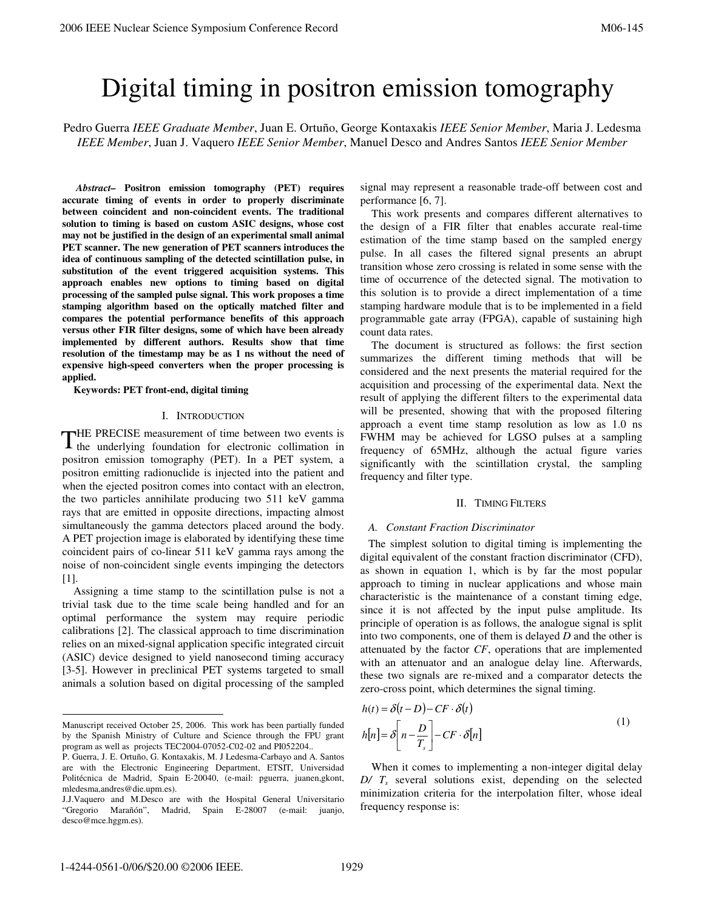# Digital timing in positron emission tomography

Pedro Guerra *IEEE Graduate Member*, Juan E. Ortuño, George Kontaxakis *IEEE Senior Member*, Maria J. Ledesma *IEEE Member*, Juan J. Vaquero *IEEE Senior Member*, Manuel Desco and Andres Santos *IEEE Senior Member*

 *Abstract–* **Positron emission tomography (PET) requires accurate timing of events in order to properly discriminate between coincident and non-coincident events. The traditional solution to timing is based on custom ASIC designs, whose cost may not be justified in the design of an experimental small animal PET scanner. The new generation of PET scanners introduces the idea of continuous sampling of the detected scintillation pulse, in substitution of the event triggered acquisition systems. This approach enables new options to timing based on digital processing of the sampled pulse signal. This work proposes a time stamping algorithm based on the optically matched filter and compares the potential performance benefits of this approach versus other FIR filter designs, some of which have been already implemented by different authors. Results show that time resolution of the timestamp may be as 1 ns without the need of expensive high-speed converters when the proper processing is applied.** 

**Keywords: PET front-end, digital timing** 

#### I. INTRODUCTION

HE PRECISE measurement of time between two events is THE PRECISE measurement of time between two events is the underlying foundation for electronic collimation in positron emission tomography (PET). In a PET system, a positron emitting radionuclide is injected into the patient and when the ejected positron comes into contact with an electron, the two particles annihilate producing two 511 keV gamma rays that are emitted in opposite directions, impacting almost simultaneously the gamma detectors placed around the body. A PET projection image is elaborated by identifying these time coincident pairs of co-linear 511 keV gamma rays among the noise of non-coincident single events impinging the detectors [1].

Assigning a time stamp to the scintillation pulse is not a trivial task due to the time scale being handled and for an optimal performance the system may require periodic calibrations [2]. The classical approach to time discrimination relies on an mixed-signal application specific integrated circuit (ASIC) device designed to yield nanosecond timing accuracy [3-5]. However in preclinical PET systems targeted to small animals a solution based on digital processing of the sampled signal may represent a reasonable trade-off between cost and performance [6, 7].

This work presents and compares different alternatives to the design of a FIR filter that enables accurate real-time estimation of the time stamp based on the sampled energy pulse. In all cases the filtered signal presents an abrupt transition whose zero crossing is related in some sense with the time of occurrence of the detected signal. The motivation to this solution is to provide a direct implementation of a time stamping hardware module that is to be implemented in a field programmable gate array (FPGA), capable of sustaining high count data rates.

The document is structured as follows: the first section summarizes the different timing methods that will be considered and the next presents the material required for the acquisition and processing of the experimental data. Next the result of applying the different filters to the experimental data will be presented, showing that with the proposed filtering approach a event time stamp resolution as low as 1.0 ns FWHM may be achieved for LGSO pulses at a sampling frequency of 65MHz, although the actual figure varies significantly with the scintillation crystal, the sampling frequency and filter type.

#### II. TIMING FILTERS

#### *A. Constant Fraction Discriminator*

The simplest solution to digital timing is implementing the digital equivalent of the constant fraction discriminator (CFD), as shown in equation 1, which is by far the most popular approach to timing in nuclear applications and whose main characteristic is the maintenance of a constant timing edge, since it is not affected by the input pulse amplitude. Its principle of operation is as follows, the analogue signal is split into two components, one of them is delayed *D* and the other is attenuated by the factor *CF*, operations that are implemented with an attenuator and an analogue delay line. Afterwards, these two signals are re-mixed and a comparator detects the zero-cross point, which determines the signal timing.

$$
h(t) = \delta(t - D) - CF \cdot \delta(t)
$$
  
\n
$$
h[n] = \delta \left[ n - \frac{D}{T_s} \right] - CF \cdot \delta[n]
$$
\n(1)

When it comes to implementing a non-integer digital delay *D/ Ts* several solutions exist, depending on the selected minimization criteria for the interpolation filter, whose ideal frequency response is:

j

Manuscript received October 25, 2006. This work has been partially funded by the Spanish Ministry of Culture and Science through the FPU grant program as well as projects TEC2004-07052-C02-02 and PI052204..

P. Guerra, J. E. Ortuño, G. Kontaxakis, M. J Ledesma-Carbayo and A. Santos are with the Electronic Engineering Department, ETSIT, Universidad Politécnica de Madrid, Spain E-20040, (e-mail: pguerra, juanen,gkont, mledesma,andres@die.upm.es).

J.J.Vaquero and M.Desco are with the Hospital General Universitario "Gregorio Marañón", Madrid, Spain E-28007 (e-mail: juanjo, desco@mce.hggm.es).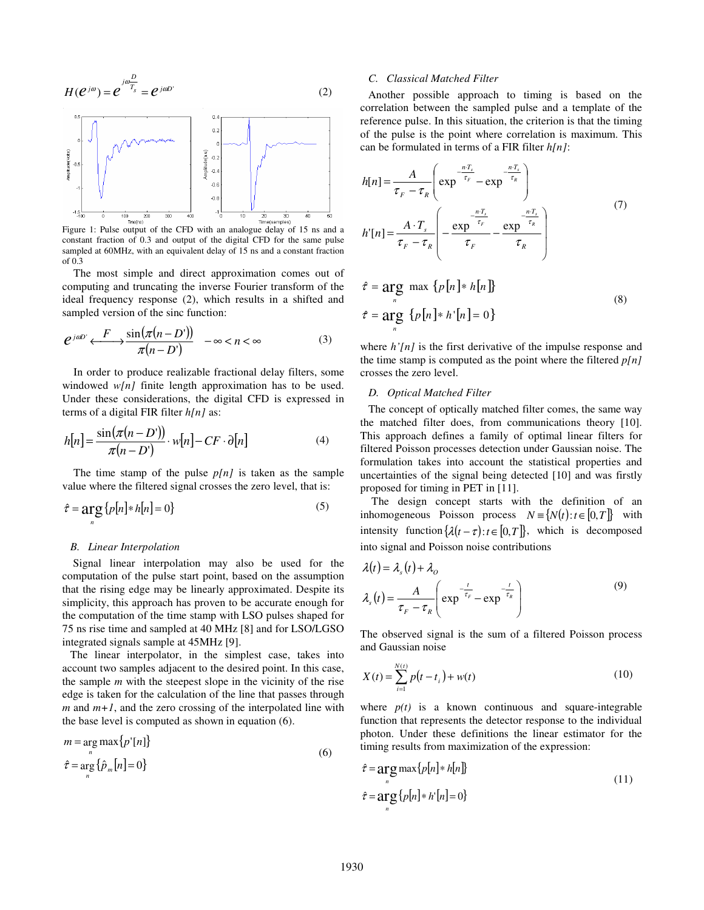$$
H(e^{j\omega}) = e^{j\omega \frac{D}{T_s}} = e^{j\omega D} \tag{2}
$$



Figure 1: Pulse output of the CFD with an analogue delay of 15 ns and a constant fraction of 0.3 and output of the digital CFD for the same pulse sampled at 60MHz, with an equivalent delay of 15 ns and a constant fraction of 0.3

The most simple and direct approximation comes out of computing and truncating the inverse Fourier transform of the ideal frequency response (2), which results in a shifted and sampled version of the sinc function:

$$
e^{j\omega D'} \xleftarrow{F} \frac{\sin(\pi(n - D'))}{\pi(n - D')} \quad -\infty < n < \infty \tag{3}
$$

In order to produce realizable fractional delay filters, some windowed *w[n]* finite length approximation has to be used. Under these considerations, the digital CFD is expressed in terms of a digital FIR filter *h[n]* as:

$$
h[n] = \frac{\sin(\pi(n - D'))}{\pi(n - D')} \cdot w[n] - CF \cdot \partial[n]
$$
 (4)

 The time stamp of the pulse *p[n]* is taken as the sample value where the filtered signal crosses the zero level, that is:

$$
\hat{\tau} = \underset{n}{\arg} \{ p[n] * h[n] = 0 \} \tag{5}
$$

#### *B. Linear Interpolation*

 Signal linear interpolation may also be used for the computation of the pulse start point, based on the assumption that the rising edge may be linearly approximated. Despite its simplicity, this approach has proven to be accurate enough for the computation of the time stamp with LSO pulses shaped for 75 ns rise time and sampled at 40 MHz [8] and for LSO/LGSO integrated signals sample at 45MHz [9].

The linear interpolator, in the simplest case, takes into account two samples adjacent to the desired point. In this case, the sample *m* with the steepest slope in the vicinity of the rise edge is taken for the calculation of the line that passes through  $m$  and  $m+1$ , and the zero crossing of the interpolated line with the base level is computed as shown in equation (6).

$$
m = \underset{n}{\arg \max} \{ p'[n] \}
$$
  
\n
$$
\hat{\tau} = \underset{n}{\arg} \{ \hat{p}_m[n] = 0 \}
$$
\n(6)

#### *C. Classical Matched Filter*

Another possible approach to timing is based on the correlation between the sampled pulse and a template of the reference pulse. In this situation, the criterion is that the timing of the pulse is the point where correlation is maximum. This can be formulated in terms of a FIR filter *h[n]*:

$$
h[n] = \frac{A}{\tau_F - \tau_R} \left( \exp^{-\frac{nT_s}{\tau_F}} - \exp^{-\frac{nT_s}{\tau_R}} \right)
$$
  
\n
$$
h'[n] = \frac{A \cdot T_s}{\tau_F - \tau_R} \left( -\frac{\exp^{-\frac{nT_s}{\tau_F}}}{\tau_F} - \frac{\exp^{-\frac{nT_s}{\tau_R}}}{\tau_R} \right)
$$
  
\n
$$
\hat{\tau} = \arg \max \{p[n] * h[n] \}
$$
\n(7)

$$
\tau = \underset{n}{\arg \max} \max \{p[n] \ast n[n]\}
$$
\n
$$
\hat{\tau} = \underset{n}{\arg} \{p[n] \ast h'[n] = 0\}
$$
\n(8)

where  $h'[n]$  is the first derivative of the impulse response and the time stamp is computed as the point where the filtered *p[n]* crosses the zero level.

#### *D. Optical Matched Filter*

The concept of optically matched filter comes, the same way the matched filter does, from communications theory [10]. This approach defines a family of optimal linear filters for filtered Poisson processes detection under Gaussian noise. The formulation takes into account the statistical properties and uncertainties of the signal being detected [10] and was firstly proposed for timing in PET in [11].

The design concept starts with the definition of an inhomogeneous Poisson process  $N = \{ N(t) : t \in [0, T] \}$  with intensity function  $\{\lambda(t - \tau): t \in [0, T]\}$ , which is decomposed into signal and Poisson noise contributions

$$
\lambda(t) = \lambda_s(t) + \lambda_o
$$
  

$$
\lambda_s(t) = \frac{A}{\tau_F - \tau_R} \left( \exp^{\frac{-t}{\tau_F}} - \exp^{\frac{-t}{\tau_R}} \right)
$$
 (9)

The observed signal is the sum of a filtered Poisson process and Gaussian noise

$$
X(t) = \sum_{i=1}^{N(t)} p(t - t_i) + w(t)
$$
\n(10)

where  $p(t)$  is a known continuous and square-integrable function that represents the detector response to the individual photon. Under these definitions the linear estimator for the timing results from maximization of the expression:

$$
\hat{\tau} = \underset{n}{\arg \max} \{ p[n] * h[n] \}
$$
\n
$$
\hat{\tau} = \underset{n}{\arg} \{ p[n] * h[n] = 0 \}
$$
\n(11)

 $\mathbb{R}^2$ 

 $\sim$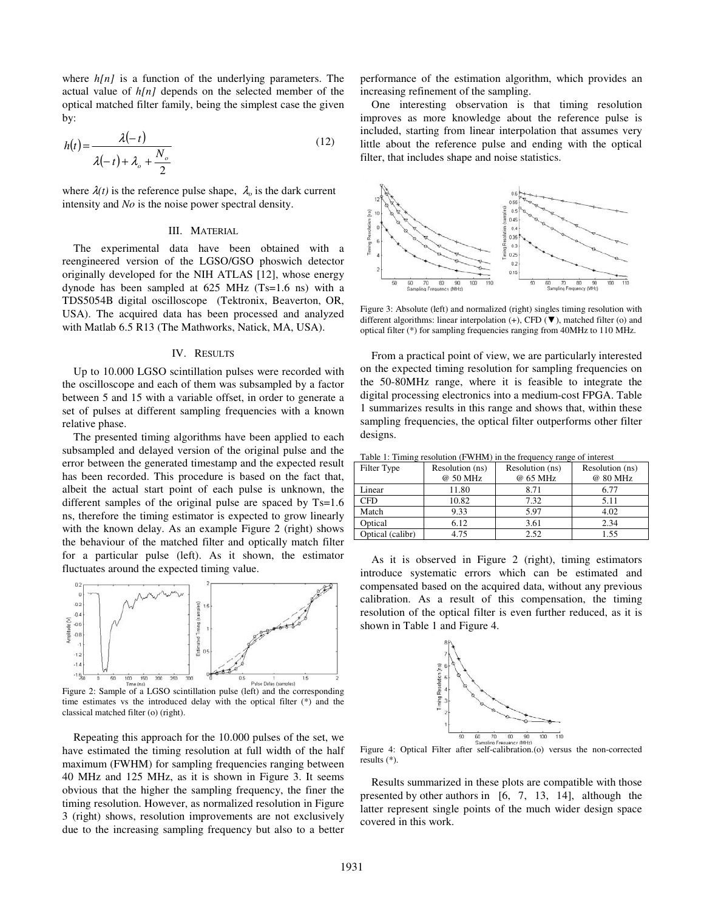where  $h[n]$  is a function of the underlying parameters. The actual value of *h[n]* depends on the selected member of the optical matched filter family, being the simplest case the given by:

$$
h(t) = \frac{\lambda(-t)}{\lambda(-t) + \lambda_o + \frac{N_o}{2}}
$$
\n(12)

where  $\lambda(t)$  is the reference pulse shape,  $\lambda_0$  is the dark current intensity and *No* is the noise power spectral density.

## III. MATERIAL

 The experimental data have been obtained with a reengineered version of the LGSO/GSO phoswich detector originally developed for the NIH ATLAS [12], whose energy dynode has been sampled at 625 MHz (Ts=1.6 ns) with a TDS5054B digital oscilloscope (Tektronix, Beaverton, OR, USA). The acquired data has been processed and analyzed with Matlab 6.5 R13 (The Mathworks, Natick, MA, USA).

### IV. RESULTS

Up to 10.000 LGSO scintillation pulses were recorded with the oscilloscope and each of them was subsampled by a factor between 5 and 15 with a variable offset, in order to generate a set of pulses at different sampling frequencies with a known relative phase.

The presented timing algorithms have been applied to each subsampled and delayed version of the original pulse and the error between the generated timestamp and the expected result has been recorded. This procedure is based on the fact that, albeit the actual start point of each pulse is unknown, the different samples of the original pulse are spaced by Ts=1.6 ns, therefore the timing estimator is expected to grow linearly with the known delay. As an example Figure 2 (right) shows the behaviour of the matched filter and optically match filter for a particular pulse (left). As it shown, the estimator fluctuates around the expected timing value.



Figure 2: Sample of a LGSO scintillation pulse (left) and the corresponding time estimates vs the introduced delay with the optical filter (\*) and the classical matched filter (o) (right).

 Repeating this approach for the 10.000 pulses of the set, we have estimated the timing resolution at full width of the half maximum (FWHM) for sampling frequencies ranging between 40 MHz and 125 MHz, as it is shown in Figure 3. It seems obvious that the higher the sampling frequency, the finer the timing resolution. However, as normalized resolution in Figure 3 (right) shows, resolution improvements are not exclusively due to the increasing sampling frequency but also to a better

performance of the estimation algorithm, which provides an increasing refinement of the sampling.

 One interesting observation is that timing resolution improves as more knowledge about the reference pulse is included, starting from linear interpolation that assumes very little about the reference pulse and ending with the optical filter, that includes shape and noise statistics.



Figure 3: Absolute (left) and normalized (right) singles timing resolution with different algorithms: linear interpolation (+), CFD (▼), matched filter (o) and optical filter (\*) for sampling frequencies ranging from 40MHz to 110 MHz.

From a practical point of view, we are particularly interested on the expected timing resolution for sampling frequencies on the 50-80MHz range, where it is feasible to integrate the digital processing electronics into a medium-cost FPGA. Table 1 summarizes results in this range and shows that, within these sampling frequencies, the optical filter outperforms other filter designs.

| Table 1. Thinnig resolution (1 WTHM) in the hequency range of microst |                 |                 |                 |
|-----------------------------------------------------------------------|-----------------|-----------------|-----------------|
| Filter Type                                                           | Resolution (ns) | Resolution (ns) | Resolution (ns) |
|                                                                       | @ 50 MHz        | @ 65 MHz        | @ 80 MHz        |
| Linear                                                                | 11.80           | 8.71            | 6.77            |
| <b>CFD</b>                                                            | 10.82           | 7.32            | 5.11            |
| Match                                                                 | 9.33            | 5.97            | 4.02            |
| Optical                                                               | 6.12            | 3.61            | 2.34            |
| Optical (calibr)                                                      | 4.75            | 2.52            | 1.55            |

Table 1: Timing resolution (FWHM) in the frequency range of interest

As it is observed in Figure 2 (right), timing estimators introduce systematic errors which can be estimated and compensated based on the acquired data, without any previous calibration. As a result of this compensation, the timing resolution of the optical filter is even further reduced, as it is shown in Table 1 and Figure 4.



Figure 4: Optical Filter after self-calibration.(o) versus the non-corrected results (\*).

Results summarized in these plots are compatible with those presented by other authors in [6, 7, 13, 14], although the latter represent single points of the much wider design space covered in this work.